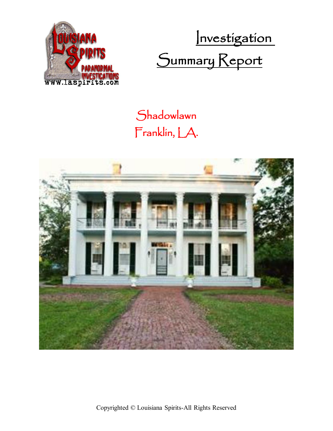

 Investigation Summary Report

## **Shadowlawn** Franklin, LA.

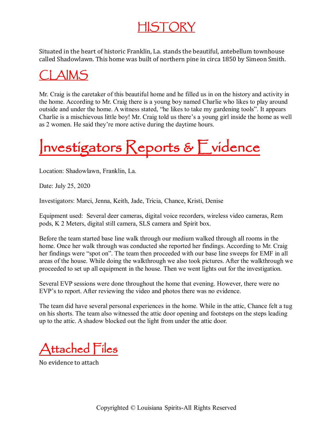#### HISTORY

Situated in the heart of historic Franklin, La. stands the beautiful, antebellum townhouse called Shadowlawn. This home was built of northern pine in circa 1850 by Simeon Smith.

### AIMS

Mr. Craig is the caretaker of this beautiful home and he filled us in on the history and activity in the home. According to Mr. Craig there is a young boy named Charlie who likes to play around outside and under the home. A witness stated, "he likes to take my gardening tools". It appears Charlie is a mischievous little boy! Mr. Craig told us there's a young girl inside the home as well as 2 women. He said they're more active during the daytime hours.

# Investigators Reports & Evidence

Location: Shadowlawn, Franklin, La.

Date: July 25, 2020

Investigators: Marci, Jenna, Keith, Jade, Tricia, Chance, Kristi, Denise

Equipment used: Several deer cameras, digital voice recorders, wireless video cameras, Rem pods, K 2 Meters, digital still camera, SLS camera and Spirit box.

Before the team started base line walk through our medium walked through all rooms in the home. Once her walk through was conducted she reported her findings. According to Mr. Craig her findings were "spot on". The team then proceeded with our base line sweeps for EMF in all areas of the house. While doing the walkthrough we also took pictures. After the walkthrough we proceeded to set up all equipment in the house. Then we went lights out for the investigation.

Several EVP sessions were done throughout the home that evening. However, there were no EVP's to report. After reviewing the video and photos there was no evidence.

The team did have several personal experiences in the home. While in the attic, Chance felt a tug on his shorts. The team also witnessed the attic door opening and footsteps on the steps leading up to the attic. A shadow blocked out the light from under the attic door.

Attached Files

No evidence to attach